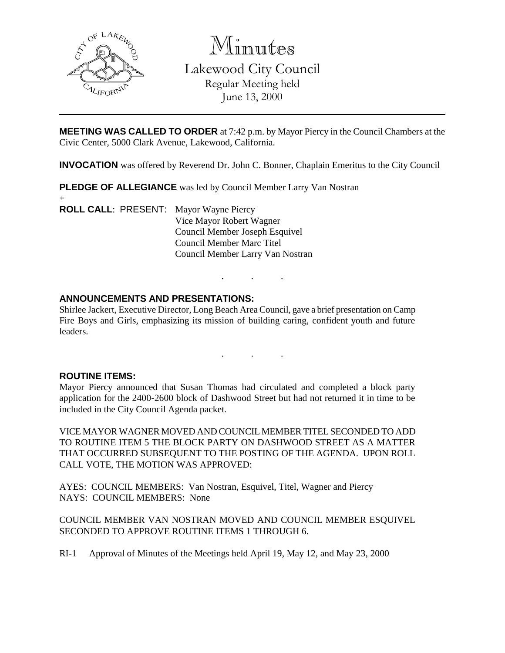

Minutes

Lakewood City Council Regular Meeting held June 13, 2000

**MEETING WAS CALLED TO ORDER** at 7:42 p.m. by Mayor Piercy in the Council Chambers at the Civic Center, 5000 Clark Avenue, Lakewood, California.

**INVOCATION** was offered by Reverend Dr. John C. Bonner, Chaplain Emeritus to the City Council

**PLEDGE OF ALLEGIANCE** was led by Council Member Larry Van Nostran

+ **ROLL CALL**: PRESENT: Mayor Wayne Piercy Vice Mayor Robert Wagner Council Member Joseph Esquivel Council Member Marc Titel Council Member Larry Van Nostran

# **ANNOUNCEMENTS AND PRESENTATIONS:**

Shirlee Jackert, Executive Director, Long Beach Area Council, gave a brief presentation on Camp Fire Boys and Girls, emphasizing its mission of building caring, confident youth and future leaders.

. . .

. . .

### **ROUTINE ITEMS:**

Mayor Piercy announced that Susan Thomas had circulated and completed a block party application for the 2400-2600 block of Dashwood Street but had not returned it in time to be included in the City Council Agenda packet.

VICE MAYOR WAGNER MOVED AND COUNCIL MEMBER TITEL SECONDED TO ADD TO ROUTINE ITEM 5 THE BLOCK PARTY ON DASHWOOD STREET AS A MATTER THAT OCCURRED SUBSEQUENT TO THE POSTING OF THE AGENDA. UPON ROLL CALL VOTE, THE MOTION WAS APPROVED:

AYES: COUNCIL MEMBERS: Van Nostran, Esquivel, Titel, Wagner and Piercy NAYS: COUNCIL MEMBERS: None

COUNCIL MEMBER VAN NOSTRAN MOVED AND COUNCIL MEMBER ESQUIVEL SECONDED TO APPROVE ROUTINE ITEMS 1 THROUGH 6.

RI-1 Approval of Minutes of the Meetings held April 19, May 12, and May 23, 2000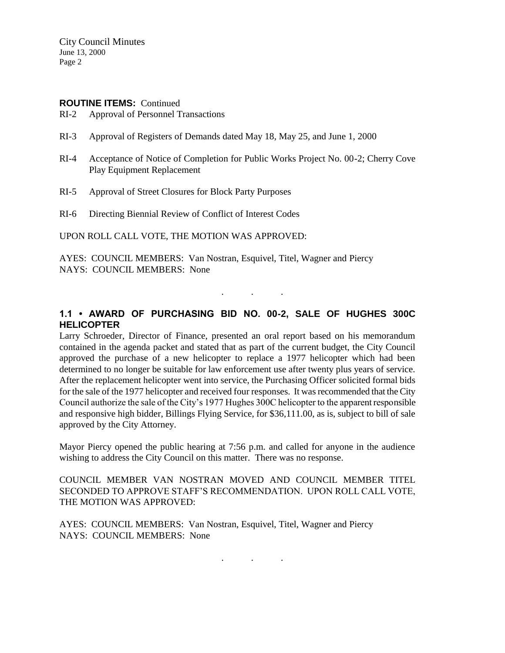City Council Minutes June 13, 2000 Page 2

#### **ROUTINE ITEMS:** Continued

- RI-2 Approval of Personnel Transactions
- RI-3 Approval of Registers of Demands dated May 18, May 25, and June 1, 2000
- RI-4 Acceptance of Notice of Completion for Public Works Project No. 00-2; Cherry Cove Play Equipment Replacement
- RI-5 Approval of Street Closures for Block Party Purposes
- RI-6 Directing Biennial Review of Conflict of Interest Codes

UPON ROLL CALL VOTE, THE MOTION WAS APPROVED:

AYES: COUNCIL MEMBERS: Van Nostran, Esquivel, Titel, Wagner and Piercy NAYS: COUNCIL MEMBERS: None

## **1.1 • AWARD OF PURCHASING BID NO. 00-2, SALE OF HUGHES 300C HELICOPTER**

. . .

Larry Schroeder, Director of Finance, presented an oral report based on his memorandum contained in the agenda packet and stated that as part of the current budget, the City Council approved the purchase of a new helicopter to replace a 1977 helicopter which had been determined to no longer be suitable for law enforcement use after twenty plus years of service. After the replacement helicopter went into service, the Purchasing Officer solicited formal bids for the sale of the 1977 helicopter and received four responses. It was recommended that the City Council authorize the sale of the City's 1977 Hughes 300C helicopter to the apparent responsible and responsive high bidder, Billings Flying Service, for \$36,111.00, as is, subject to bill of sale approved by the City Attorney.

Mayor Piercy opened the public hearing at 7:56 p.m. and called for anyone in the audience wishing to address the City Council on this matter. There was no response.

COUNCIL MEMBER VAN NOSTRAN MOVED AND COUNCIL MEMBER TITEL SECONDED TO APPROVE STAFF'S RECOMMENDATION. UPON ROLL CALL VOTE, THE MOTION WAS APPROVED:

AYES: COUNCIL MEMBERS: Van Nostran, Esquivel, Titel, Wagner and Piercy NAYS: COUNCIL MEMBERS: None

. . .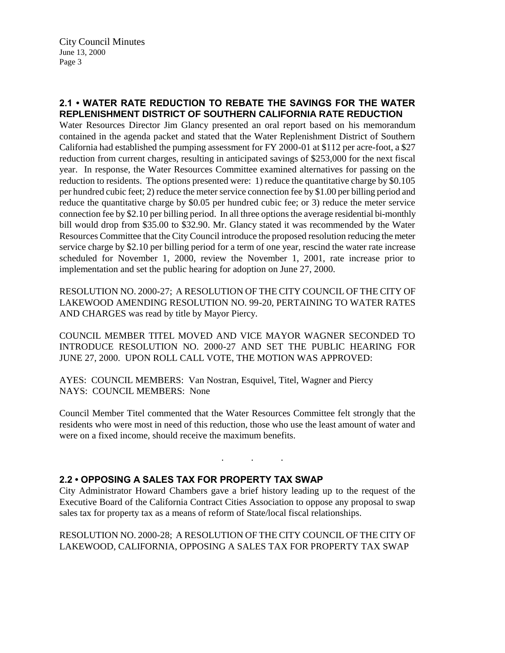# **2.1 • WATER RATE REDUCTION TO REBATE THE SAVINGS FOR THE WATER REPLENISHMENT DISTRICT OF SOUTHERN CALIFORNIA RATE REDUCTION**

Water Resources Director Jim Glancy presented an oral report based on his memorandum contained in the agenda packet and stated that the Water Replenishment District of Southern California had established the pumping assessment for FY 2000-01 at \$112 per acre-foot, a \$27 reduction from current charges, resulting in anticipated savings of \$253,000 for the next fiscal year. In response, the Water Resources Committee examined alternatives for passing on the reduction to residents. The options presented were: 1) reduce the quantitative charge by \$0.105 per hundred cubic feet; 2) reduce the meter service connection fee by \$1.00 per billing period and reduce the quantitative charge by \$0.05 per hundred cubic fee; or 3) reduce the meter service connection fee by \$2.10 per billing period. In all three options the average residential bi-monthly bill would drop from \$35.00 to \$32.90. Mr. Glancy stated it was recommended by the Water Resources Committee that the City Council introduce the proposed resolution reducing the meter service charge by \$2.10 per billing period for a term of one year, rescind the water rate increase scheduled for November 1, 2000, review the November 1, 2001, rate increase prior to implementation and set the public hearing for adoption on June 27, 2000.

RESOLUTION NO. 2000-27; A RESOLUTION OF THE CITY COUNCIL OF THE CITY OF LAKEWOOD AMENDING RESOLUTION NO. 99-20, PERTAINING TO WATER RATES AND CHARGES was read by title by Mayor Piercy.

COUNCIL MEMBER TITEL MOVED AND VICE MAYOR WAGNER SECONDED TO INTRODUCE RESOLUTION NO. 2000-27 AND SET THE PUBLIC HEARING FOR JUNE 27, 2000. UPON ROLL CALL VOTE, THE MOTION WAS APPROVED:

AYES: COUNCIL MEMBERS: Van Nostran, Esquivel, Titel, Wagner and Piercy NAYS: COUNCIL MEMBERS: None

Council Member Titel commented that the Water Resources Committee felt strongly that the residents who were most in need of this reduction, those who use the least amount of water and were on a fixed income, should receive the maximum benefits.

. . .

# **2.2 • OPPOSING A SALES TAX FOR PROPERTY TAX SWAP**

City Administrator Howard Chambers gave a brief history leading up to the request of the Executive Board of the California Contract Cities Association to oppose any proposal to swap sales tax for property tax as a means of reform of State/local fiscal relationships.

RESOLUTION NO. 2000-28; A RESOLUTION OF THE CITY COUNCIL OF THE CITY OF LAKEWOOD, CALIFORNIA, OPPOSING A SALES TAX FOR PROPERTY TAX SWAP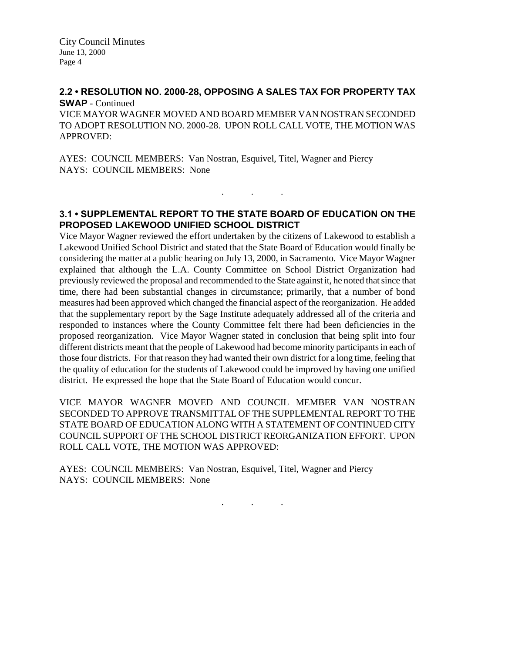City Council Minutes June 13, 2000 Page 4

### **2.2 • RESOLUTION NO. 2000-28, OPPOSING A SALES TAX FOR PROPERTY TAX SWAP** - Continued

VICE MAYOR WAGNER MOVED AND BOARD MEMBER VAN NOSTRAN SECONDED TO ADOPT RESOLUTION NO. 2000-28. UPON ROLL CALL VOTE, THE MOTION WAS APPROVED:

AYES: COUNCIL MEMBERS: Van Nostran, Esquivel, Titel, Wagner and Piercy NAYS: COUNCIL MEMBERS: None

### **3.1 • SUPPLEMENTAL REPORT TO THE STATE BOARD OF EDUCATION ON THE PROPOSED LAKEWOOD UNIFIED SCHOOL DISTRICT**

. . .

Vice Mayor Wagner reviewed the effort undertaken by the citizens of Lakewood to establish a Lakewood Unified School District and stated that the State Board of Education would finally be considering the matter at a public hearing on July 13, 2000, in Sacramento. Vice Mayor Wagner explained that although the L.A. County Committee on School District Organization had previously reviewed the proposal and recommended to the State against it, he noted that since that time, there had been substantial changes in circumstance; primarily, that a number of bond measures had been approved which changed the financial aspect of the reorganization. He added that the supplementary report by the Sage Institute adequately addressed all of the criteria and responded to instances where the County Committee felt there had been deficiencies in the proposed reorganization. Vice Mayor Wagner stated in conclusion that being split into four different districts meant that the people of Lakewood had become minority participants in each of those four districts. For that reason they had wanted their own district for a long time, feeling that the quality of education for the students of Lakewood could be improved by having one unified district. He expressed the hope that the State Board of Education would concur.

VICE MAYOR WAGNER MOVED AND COUNCIL MEMBER VAN NOSTRAN SECONDED TO APPROVE TRANSMITTAL OF THE SUPPLEMENTAL REPORT TO THE STATE BOARD OF EDUCATION ALONG WITH A STATEMENT OF CONTINUED CITY COUNCIL SUPPORT OF THE SCHOOL DISTRICT REORGANIZATION EFFORT. UPON ROLL CALL VOTE, THE MOTION WAS APPROVED:

AYES: COUNCIL MEMBERS: Van Nostran, Esquivel, Titel, Wagner and Piercy NAYS: COUNCIL MEMBERS: None

. . .